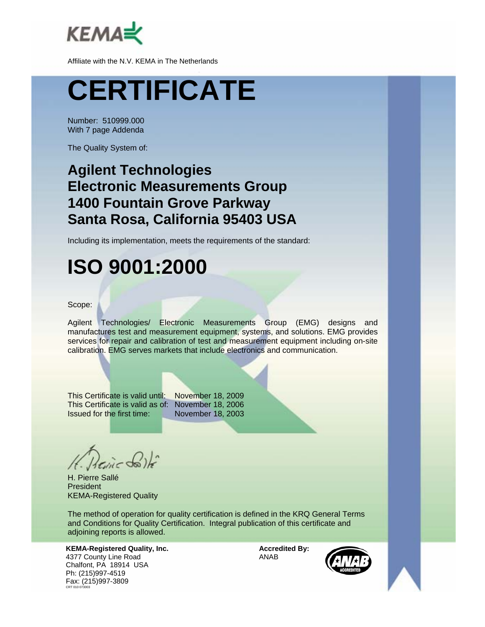

# **CERTIFICATE**

Number: 510999.000 With 7 page Addenda

The Quality System of:

#### **Agilent Technologies Electronic Measurements Group 1400 Fountain Grove Parkway Santa Rosa, California 95403 USA**

Including its implementation, meets the requirements of the standard:

## **ISO 9001:2000**

#### Scope:

Agilent Technologies/ Electronic Measurements Group (EMG) designs and manufactures test and measurement equipment, systems, and solutions. EMG provides services for repair and calibration of test and measurement equipment including on-site calibration. EMG serves markets that include electronics and communication.

This Certificate is valid until: November 18, 2009 This Certificate is valid as of: November 18, 2006 Issued for the first time: November 18, 2003

H. Pierre Sallé President KEMA-Registered Quality

The method of operation for quality certification is defined in the KRQ General Terms and Conditions for Quality Certification. Integral publication of this certificate and adjoining reports is allowed.

**KEMA-Registered Quality, Inc.** 4377 County Line Road Chalfont, PA 18914 USA Ph: (215)997-4519 Fax: (215)997-3809 CRT 010 073003

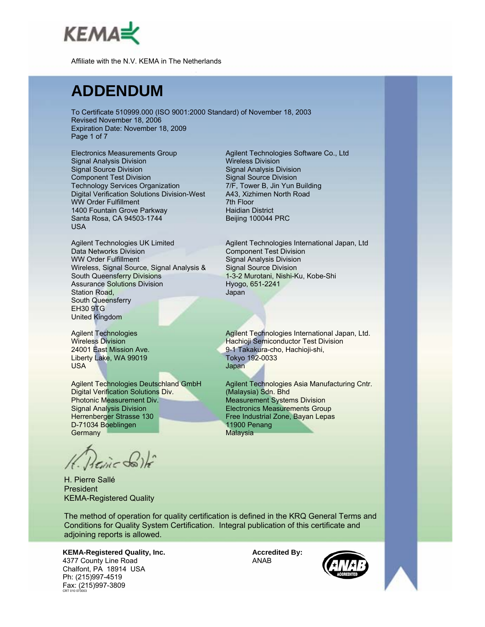

## **ADDENDUM**

To Certificate 510999.000 (ISO 9001:2000 Standard) of November 18, 2003 Revised November 18, 2006 Expiration Date: November 18, 2009 Page 1 of 7

Electronics Measurements Group Signal Analysis Division Signal Source Division Component Test Division Technology Services Organization Digital Verification Solutions Division-West WW Order Fulfillment 1400 Fountain Grove Parkway Santa Rosa, CA 94503-1744 USA

Agilent Technologies UK Limited Data Networks Division WW Order Fulfillment Wireless, Signal Source, Signal Analysis & South Queensferry Divisions Assurance Solutions Division Station Road, South Queensferry EH30 9TG United Kingdom

Agilent Technologies Wireless Division 24001 East Mission Ave. Liberty Lake, WA 99019 USA

Agilent Technologies Deutschland GmbH Digital Verification Solutions Div. Photonic Measurement Div. Signal Analysis Division Herrenberger Strasse 130 D-71034 Boeblingen **Germany** 

Herine Solh

H. Pierre Sallé President KEMA-Registered Quality

Agilent Technologies Software Co., Ltd Wireless Division Signal Analysis Division Signal Source Division 7/F, Tower B, Jin Yun Building A43, Xizhimen North Road 7th Floor Haidian District Beijing 100044 PRC

Agilent Technologies International Japan, Ltd Component Test Division Signal Analysis Division Signal Source Division 1-3-2 Murotani, Nishi-Ku, Kobe-Shi Hyogo, 651-2241 Japan

Agilent Technologies International Japan, Ltd. Hachioji Semiconductor Test Division 9-1 Takakura-cho, Hachioji-shi, Tokyo 192-0033 Japan

Agilent Technologies Asia Manufacturing Cntr. (Malaysia) Sdn. Bhd Measurement Systems Division Electronics Measurements Group Free Industrial Zone, Bayan Lepas 11900 Penang **Malaysia** 

The method of operation for quality certification is defined in the KRQ General Terms and Conditions for Quality System Certification. Integral publication of this certificate and adjoining reports is allowed.

**KEMA-Registered Quality, Inc.** 4377 County Line Road Chalfont, PA 18914 USA Ph: (215)997-4519 Fax: (215)997-3809 CRT 010 073003

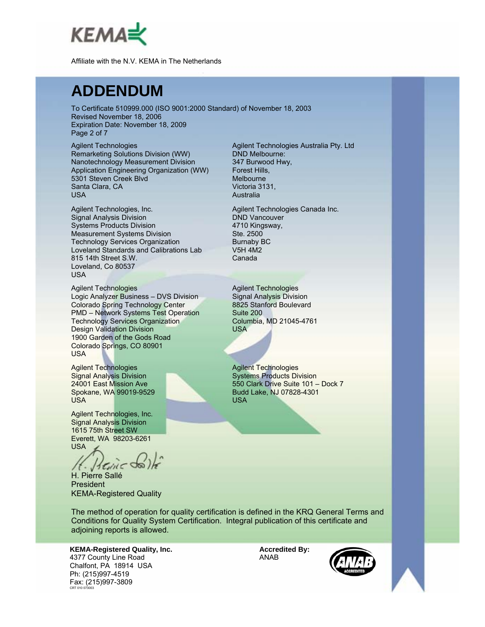

#### **ADDENDUM**

To Certificate 510999.000 (ISO 9001:2000 Standard) of November 18, 2003 Revised November 18, 2006 Expiration Date: November 18, 2009 Page 2 of 7

Agilent Technologies Remarketing Solutions Division (WW) Nanotechnology Measurement Division Application Engineering Organization (WW) 5301 Steven Creek Blvd Santa Clara, CA USA

Agilent Technologies, Inc. Signal Analysis Division Systems Products Division Measurement Systems Division Technology Services Organization Loveland Standards and Calibrations Lab 815 14th Street S.W. Loveland, Co 80537 USA

Agilent Technologies Logic Analyzer Business – DVS Division Colorado Spring Technology Center PMD – Network Systems Test Operation Technology Services Organization Design Validation Division 1900 Garden of the Gods Road Colorado Springs, CO 80901 USA

Agilent Technologies Signal Analysis Division 24001 East Mission Ave Spokane, WA 99019-9529 USA

Agilent Technologies, Inc. Signal Analysis Division 1615 75th Street SW Everett, WA 98203-6261 USA

 $155$ dil $5$ 

H. Pierre Sallé President KEMA-Registered Quality

Agilent Technologies Australia Pty. Ltd DND Melbourne: 347 Burwood Hwy, Forest Hills, Melbourne Victoria 3131, Australia

Agilent Technologies Canada Inc. DND Vancouver 4710 Kingsway, Ste. 2500 Burnaby BC V5H 4M2 Canada

Agilent Technologies Signal Analysis Division 8825 Stanford Boulevard Suite 200 Columbia, MD 21045-4761 USA

Agilent Technologies Systems Products Division 550 Clark Drive Suite 101 – Dock 7 Budd Lake, NJ 07828-4301 USA

The method of operation for quality certification is defined in the KRQ General Terms and Conditions for Quality System Certification. Integral publication of this certificate and adjoining reports is allowed.

**KEMA-Registered Quality, Inc.** 4377 County Line Road Chalfont, PA 18914 USA Ph: (215)997-4519 Fax: (215)997-3809 CRT 010 073003

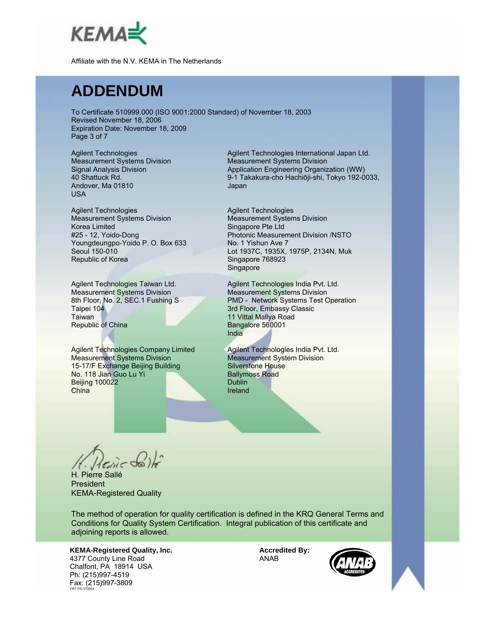

#### **ADDENDUM**

To Certificate 510999.000 (ISO 9001:2000 Standard) of November 18, 2003 Revised November 18, 2006 Expiration Date: November 18, 2009 Page 3 of 7

Agilent Technologies Measurement Systems Division Signal Analysis Division 40 Shattuck Rd. Andover, Ma 01810 USA

Agilent Technologies Measurement Systems Division Korea Limited #25 - 12, Yoido-Dong Youngdeungpo-Yoido P. O. Box 633 Seoul 150-010 Republic of Korea

Agilent Technologies Taiwan Ltd. Measurement Systems Division 8th Floor, No. 2, SEC.1 Fushing S Taipei 104 **Taiwan** Republic of China

Agilent Technologies Company Limited Measurement Systems Division 15-17/F Exchange Beijing Building No. 118 Jian Guo Lu Yi Beijing 100022 **China** 

Agilent Technologies International Japan Ltd. Measurement Systems Division Application Engineering Organization (WW) 9-1 Takakura-cho Hachiōji-shi, Tokyo 192-0033, Japan

Agilent Technologies Measurement Systems Division Singapore Pte Ltd Photonic Measurement Division /NSTO No. 1 Yishun Ave 7 Lot 1937C, 1935X, 1975P, 2134N, Muk Singapore 768923 Singapore

Agilent Technologies India Pvt. Ltd. Measurement Systems Division PMD - Network Systems Test Operation 3rd Floor, Embassy Classic 11 Vittal Mallya Road Bangalore 560001 India

Agilent Technologies India Pvt. Ltd. Measurement System Division Silverstone House Ballymoss Road **Dublin** Ireland

H. Pierre Sallé President KEMA-Registered Quality

The method of operation for quality certification is defined in the KRQ General Terms and Conditions for Quality System Certification. Integral publication of this certificate and adjoining reports is allowed.

**KEMA-Registered Quality, Inc.** 4377 County Line Road Chalfont, PA 18914 USA Ph: (215)997-4519 Fax: (215)997-3809 CRT 010 073003

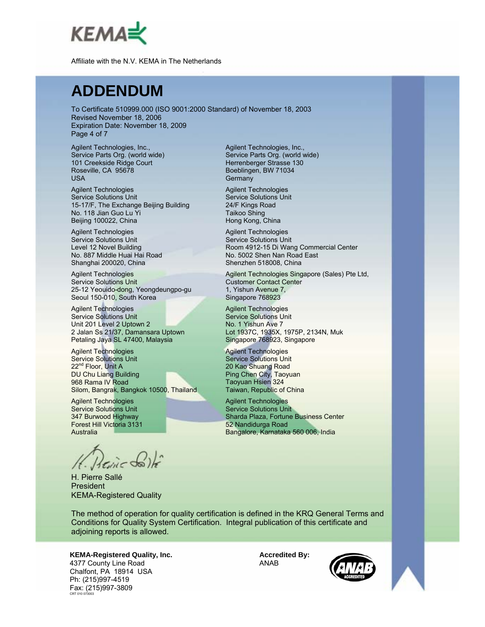

#### **ADDENDUM**

To Certificate 510999.000 (ISO 9001:2000 Standard) of November 18, 2003 Revised November 18, 2006 Expiration Date: November 18, 2009 Page 4 of 7

Agilent Technologies, Inc., Service Parts Org. (world wide) 101 Creekside Ridge Court Roseville, CA 95678 USA

Agilent Technologies Service Solutions Unit 15-17/F, The Exchange Beijing Building No. 118 Jian Guo Lu Yi Beijing 100022, China

Agilent Technologies Service Solutions Unit Level 12 Novel Building No. 887 Middle Huai Hai Road Shanghai 200020, China

Agilent Technologies Service Solutions Unit 25-12 Yeouido-dong, Yeongdeungpo-gu Seoul 150-010, South Korea

Agilent Technologies Service Solutions Unit Unit 201 Level 2 Uptown 2 2 Jalan Ss 21/37, Damansara Uptown Petaling Jaya SL 47400, Malaysia

Agilent Technologies Service Solutions Unit 22<sup>nd</sup> Floor, Unit A DU Chu Liang Building 968 Rama IV Road Silom, Bangrak, Bangkok 10500, Thailand

Agilent Technologies Service Solutions Unit 347 Burwood Highway Forest Hill Victoria 3131 Australia

H. Pierre Sallé President KEMA-Registered Quality

Agilent Technologies, Inc., Service Parts Org. (world wide) Herrenberger Strasse 130 Boeblingen, BW 71034 **Germany** 

Agilent Technologies Service Solutions Unit 24/F Kings Road Taikoo Shing Hong Kong, China

Agilent Technologies Service Solutions Unit Room 4912-15 Di Wang Commercial Center No. 5002 Shen Nan Road East Shenzhen 518008, China

Agilent Technologies Singapore (Sales) Pte Ltd, Customer Contact Center 1, Yishun Avenue 7, Singapore 768923

Agilent Technologies Service Solutions Unit No. 1 Yishun Ave 7 Lot 1937C, 1935X, 1975P, 2134N, Muk Singapore 768923, Singapore

Agilent Technologies Service Solutions Unit 20 Kao Shuang Road Ping Chen City, Taoyuan Taoyuan Hsien 324 Taiwan, Republic of China

Agilent Technologies Service Solutions Unit Sharda Plaza, Fortune Business Center 52 Nandidurga Road Bangalore, Karnataka 560 006, India

The method of operation for quality certification is defined in the KRQ General Terms and Conditions for Quality System Certification. Integral publication of this certificate and adjoining reports is allowed.

#### **KEMA-Registered Quality, Inc.**

4377 County Line Road Chalfont, PA 18914 USA Ph: (215)997-4519 Fax: (215)997-3809 CRT 010 073003

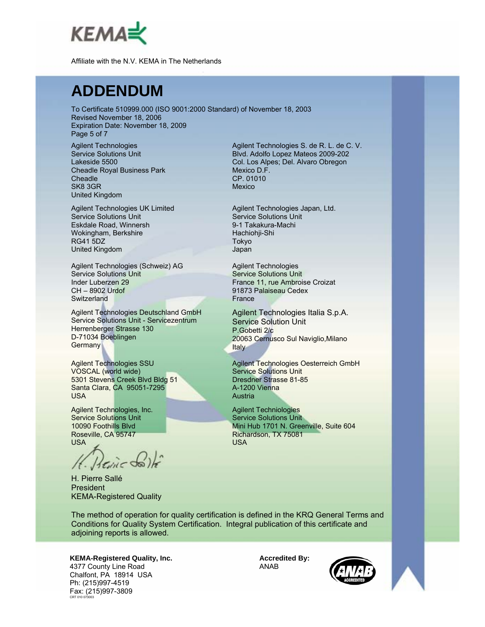

#### **ADDENDUM**

To Certificate 510999.000 (ISO 9001:2000 Standard) of November 18, 2003 Revised November 18, 2006 Expiration Date: November 18, 2009 Page 5 of 7

Agilent Technologies Service Solutions Unit Lakeside 5500 Cheadle Royal Business Park **Cheadle** SK8 3GR United Kingdom

Agilent Technologies UK Limited Service Solutions Unit Eskdale Road, Winnersh Wokingham, Berkshire RG41 5DZ United Kingdom

Agilent Technologies (Schweiz) AG Service Solutions Unit Inder Luberzen 29 CH – 8902 Urdof **Switzerland** 

Agilent Technologies Deutschland GmbH Service Solutions Unit - Servicezentrum Herrenberger Strasse 130 D-71034 Boeblingen Germany

Agilent Technologies SSU VOSCAL (world wide) 5301 Stevens Creek Blvd Bldg 51 Santa Clara, CA 95051-7295 USA

Agilent Technologies, Inc. Service Solutions Unit 10090 Foothills Blvd Roseville, CA 95747 USA

Heine do

H. Pierre Sallé President KEMA-Registered Quality

Agilent Technologies S. de R. L. de C. V. Blvd. Adolfo Lopez Mateos 2009-202 Col. Los Alpes; Del. Alvaro Obregon Mexico D.F. CP. 01010 Mexico

Agilent Technologies Japan, Ltd. Service Solutions Unit 9-1 Takakura-Machi Hachiohji-Shi Tokyo Japan

Agilent Technologies Service Solutions Unit France 11, rue Ambroise Croizat 91873 Palaiseau Cedex **France** 

Agilent Technologies Italia S.p.A. Service Solution Unit P.Gobetti 2/c 20063 Cernusco Sul Naviglio,Milano **Italy** 

Agilent Technologies Oesterreich GmbH Service Solutions Unit Dresdner Strasse 81-85 A-1200 Vienna Austria

Agilent Techniologies Service Solutions Unit Mini Hub 1701 N. Greenville, Suite 604 Richardson, TX 75081 USA

The method of operation for quality certification is defined in the KRQ General Terms and Conditions for Quality System Certification. Integral publication of this certificate and adjoining reports is allowed.

**KEMA-Registered Quality, Inc.** 4377 County Line Road Chalfont, PA 18914 USA Ph: (215)997-4519 Fax: (215)997-3809 CRT 010 073003



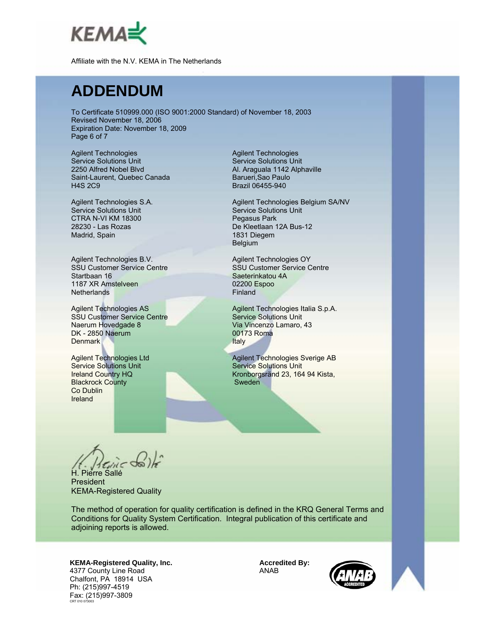

#### **ADDENDUM**

To Certificate 510999.000 (ISO 9001:2000 Standard) of November 18, 2003 Revised November 18, 2006 Expiration Date: November 18, 2009 Page 6 of 7

Agilent Technologies Service Solutions Unit 2250 Alfred Nobel Blvd Saint-Laurent, Quebec Canada H4S 2C9

Agilent Technologies S.A. Service Solutions Unit CTRA N-VI KM 18300 28230 - Las Rozas Madrid, Spain

Agilent Technologies B.V. SSU Customer Service Centre Startbaan 16 1187 XR Amstelveen **Netherlands** 

Agilent Technologies AS SSU Customer Service Centre Naerum Hovedgade 8 DK - 2850 Naerum **Denmark** 

Agilent Technologies Ltd Service Solutions Unit Ireland Country HQ Blackrock County Co Dublin Ireland

Agilent Technologies Service Solutions Unit Al. Araguala 1142 Alphaville Barueri,Sao Paulo Brazil 06455-940

Agilent Technologies Belgium SA/NV Service Solutions Unit Pegasus Park De Kleetlaan 12A Bus-12 1831 Diegem Belgium

Agilent Technologies OY SSU Customer Service Centre Saeterinkatou 4A 02200 Espoo Finland

Agilent Technologies Italia S.p.A. Service Solutions Unit Via Vincenzo Lamaro, 43 00173 Roma Italy

Agilent Technologies Sverige AB Service Solutions Unit Kronborgsränd 23, 164 94 Kista, Sweden

H. Pierre Sallé

President KEMA-Registered Quality

The method of operation for quality certification is defined in the KRQ General Terms and Conditions for Quality System Certification. Integral publication of this certificate and adjoining reports is allowed.

**KEMA-Registered Quality, Inc.** 4377 County Line Road Chalfont, PA 18914 USA Ph: (215)997-4519 Fax: (215)997-3809 CRT 010 073003